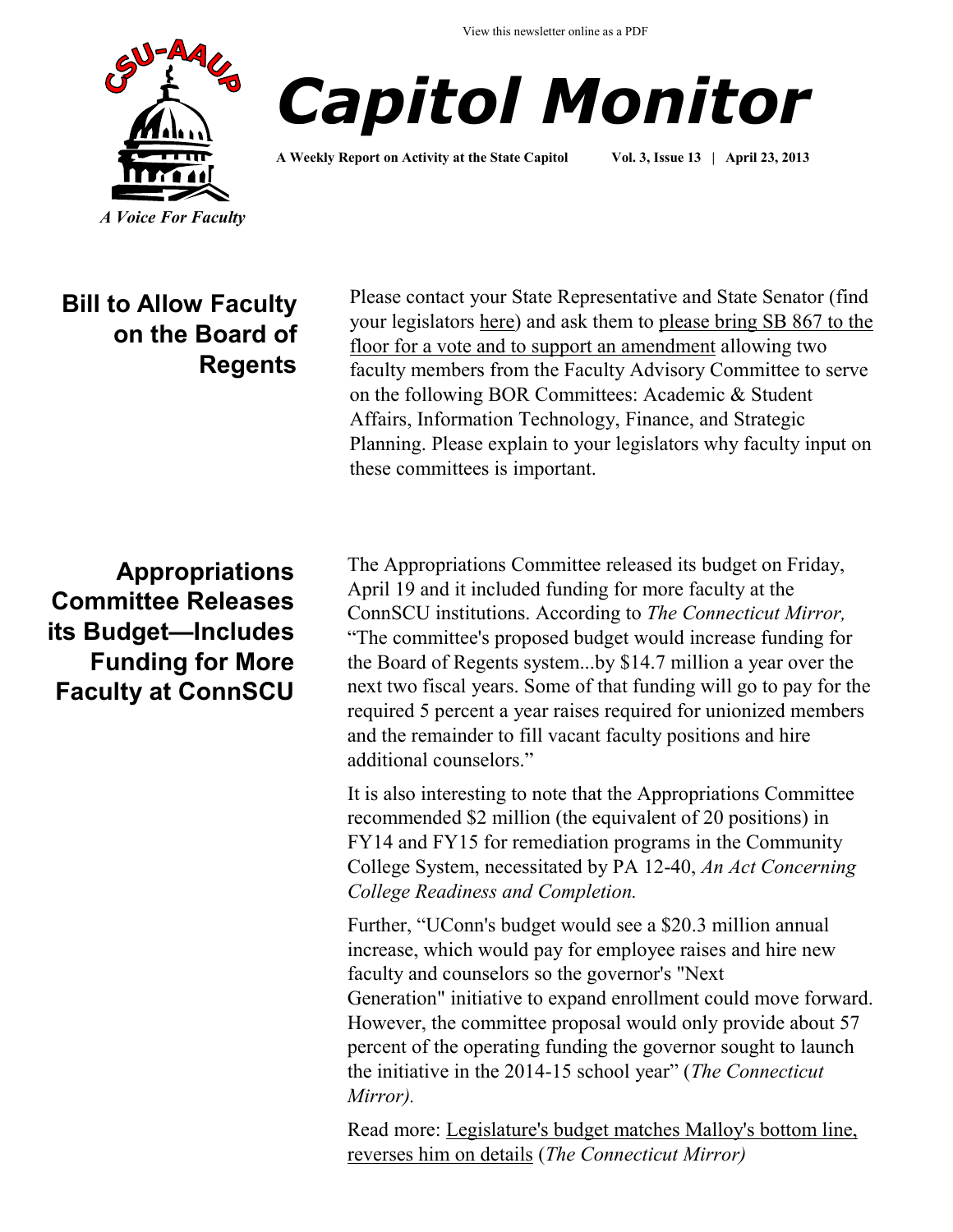View this newsletter online as a PDF





**A Weekly Report on Activity at the State Capitol Vol. 3, Issue 13 | April 23, 2013**

**Bill to Allow Faculty on the Board of Regents**

Please contact your State Representative and State Senator (find your legislators [here\)](http://www.cga.ct.gov/asp/menu/CGAFindLeg.asp) and ask them to please bring SB 867 to the floor for a vote and to support an amendment allowing two faculty members from the Faculty Advisory Committee to serve on the following BOR Committees: Academic & Student Affairs, Information Technology, Finance, and Strategic Planning. Please explain to your legislators why faculty input on these committees is important.

**Appropriations Committee Releases its Budget—Includes Funding for More Faculty at ConnSCU**

The Appropriations Committee released its budget on Friday, April 19 and it included funding for more faculty at the ConnSCU institutions. According to *The Connecticut Mirror,*  "The committee's proposed budget would increase funding for the Board of Regents system...by \$14.7 million a year over the next two fiscal years. Some of that funding will go to pay for the required 5 percent a year raises required for unionized members and the remainder to fill vacant faculty positions and hire additional counselors."

It is also interesting to note that the Appropriations Committee recommended \$2 million (the equivalent of 20 positions) in FY14 and FY15 for remediation programs in the Community College System, necessitated by PA 12-40, *An Act Concerning College Readiness and Completion.* 

Further, "UConn's budget would see a \$20.3 million annual increase, which would pay for employee raises and hire new faculty and counselors so the governor's "Next Generation" initiative to expand enrollment could move forward. However, the committee proposal would only provide about 57 percent of the operating funding the governor sought to launch the initiative in the 2014-15 school year" (*The Connecticut Mirror).* 

Read more: [Legislature's budget matches Malloy's bottom line,](http://www.ctmirror.org/story/19764/committee-budget-slams-hospitals-reverses-health-care-cut-poor-parents-lawmakers-match-m)  [reverses him on details](http://www.ctmirror.org/story/19764/committee-budget-slams-hospitals-reverses-health-care-cut-poor-parents-lawmakers-match-m) (*The Connecticut Mirror)*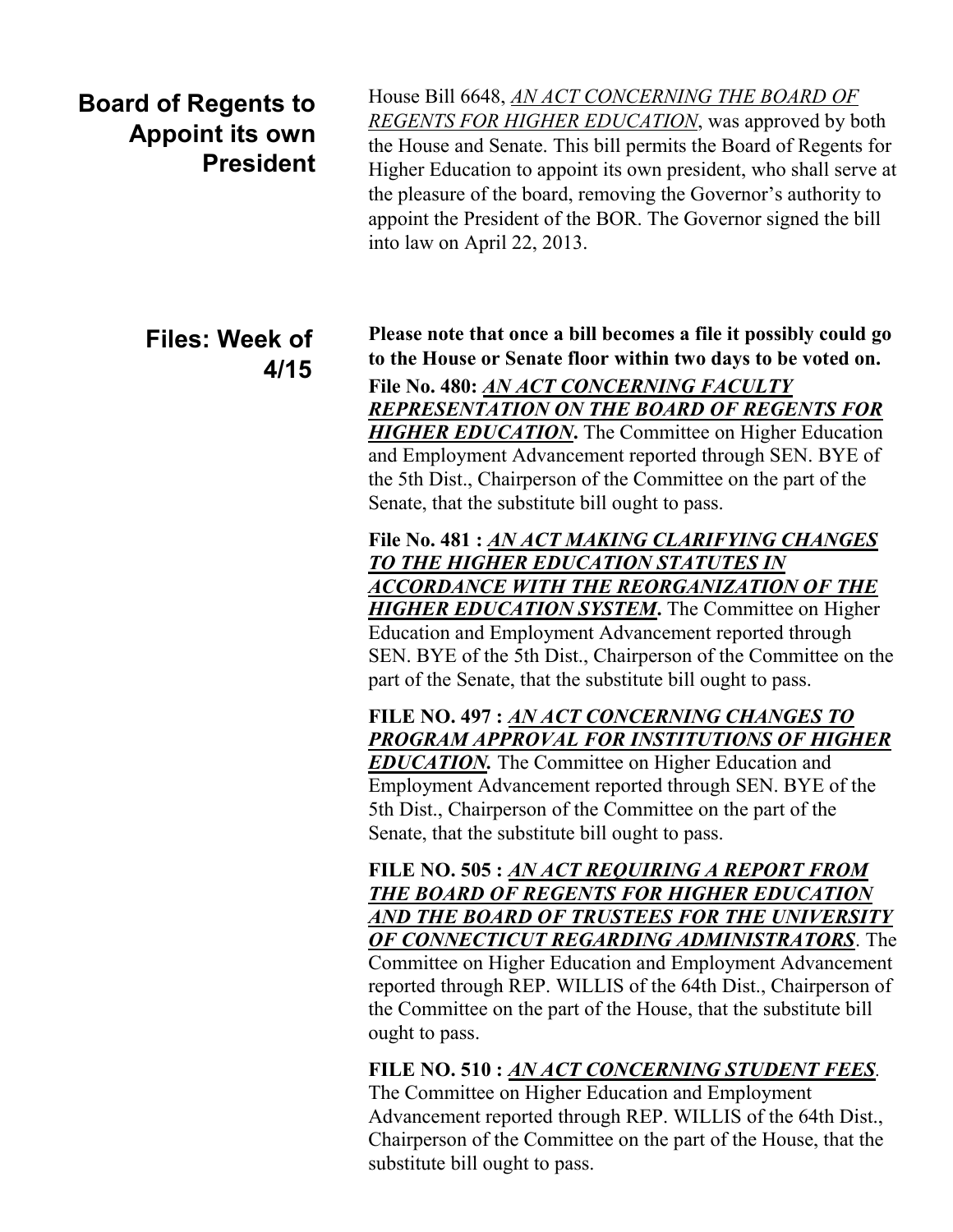## **Board of Regents to Appoint its own President**

## **Files: Week of 4/15**

House Bill 6648, *[AN ACT CONCERNING THE BOARD OF](http://www.cga.ct.gov/asp/cgabillstatus/cgabillstatus.asp?selBillType=Bill&bill_num=6648&which_year=2013&SUBMIT1.x=-680&SUBMIT1.y=0&SUBMIT1=Normal)  [REGENTS FOR HIGHER EDUCATION](http://www.cga.ct.gov/asp/cgabillstatus/cgabillstatus.asp?selBillType=Bill&bill_num=6648&which_year=2013&SUBMIT1.x=-680&SUBMIT1.y=0&SUBMIT1=Normal)*, was approved by both the House and Senate. This bill permits the Board of Regents for Higher Education to appoint its own president, who shall serve at the pleasure of the board, removing the Governor's authority to appoint the President of the BOR. The Governor signed the bill into law on April 22, 2013.

**Please note that once a bill becomes a file it possibly could go to the House or Senate floor within two days to be voted on. File No. 480:** *[AN ACT CONCERNING FACULTY](http://www.cga.ct.gov/asp/cgabillstatus/cgabillstatus.asp?selBillType=File+Copy&bill_num=480&which_year=2013&SUBMIT1.x=17&SUBMIT1.y=15&SUBMIT1=Normal)  [REPRESENTATION ON THE BOARD OF REGENTS FOR](http://www.cga.ct.gov/asp/cgabillstatus/cgabillstatus.asp?selBillType=File+Copy&bill_num=480&which_year=2013&SUBMIT1.x=17&SUBMIT1.y=15&SUBMIT1=Normal)  [HIGHER EDUCATION](http://www.cga.ct.gov/asp/cgabillstatus/cgabillstatus.asp?selBillType=File+Copy&bill_num=480&which_year=2013&SUBMIT1.x=17&SUBMIT1.y=15&SUBMIT1=Normal)***.** The Committee on Higher Education and Employment Advancement reported through SEN. BYE of the 5th Dist., Chairperson of the Committee on the part of the Senate, that the substitute bill ought to pass.

**File No. 481 :** *[AN ACT MAKING CLARIFYING CHANGES](http://www.cga.ct.gov/asp/cgabillstatus/cgabillstatus.asp?selBillType=File+Copy&bill_num=481&which_year=2013&SUBMIT1.x=-643&SUBMIT1.y=0&SUBMIT1=Normal)  [TO THE HIGHER EDUCATION STATUTES IN](http://www.cga.ct.gov/asp/cgabillstatus/cgabillstatus.asp?selBillType=File+Copy&bill_num=481&which_year=2013&SUBMIT1.x=-643&SUBMIT1.y=0&SUBMIT1=Normal)  [ACCORDANCE WITH THE REORGANIZATION OF THE](http://www.cga.ct.gov/asp/cgabillstatus/cgabillstatus.asp?selBillType=File+Copy&bill_num=481&which_year=2013&SUBMIT1.x=-643&SUBMIT1.y=0&SUBMIT1=Normal)  [HIGHER EDUCATION SYSTEM](http://www.cga.ct.gov/asp/cgabillstatus/cgabillstatus.asp?selBillType=File+Copy&bill_num=481&which_year=2013&SUBMIT1.x=-643&SUBMIT1.y=0&SUBMIT1=Normal)***.** The Committee on Higher Education and Employment Advancement reported through SEN. BYE of the 5th Dist., Chairperson of the Committee on the part of the Senate, that the substitute bill ought to pass.

**FILE NO. 497 :** *[AN ACT CONCERNING CHANGES TO](http://www.cga.ct.gov/asp/cgabillstatus/cgabillstatus.asp?selBillType=File+Copy&bill_num=497&which_year=2013&SUBMIT1.x=-643&SUBMIT1.y=0&SUBMIT1=Normal)  [PROGRAM APPROVAL FOR INSTITUTIONS OF HIGHER](http://www.cga.ct.gov/asp/cgabillstatus/cgabillstatus.asp?selBillType=File+Copy&bill_num=497&which_year=2013&SUBMIT1.x=-643&SUBMIT1.y=0&SUBMIT1=Normal)  EDUCATION*. The Committee on Higher Education and Employment Advancement reported through SEN. BYE of the 5th Dist., Chairperson of the Committee on the part of the Senate, that the substitute bill ought to pass.

**FILE NO. 505 :** *[AN ACT REQUIRING A REPORT FROM](http://www.cga.ct.gov/asp/cgabillstatus/cgabillstatus.asp?selBillType=File+Copy&bill_num=505&which_year=2013&SUBMIT1.x=13&SUBMIT1.y=12&SUBMIT1=Normal)  [THE BOARD OF REGENTS FOR HIGHER EDUCATION](http://www.cga.ct.gov/asp/cgabillstatus/cgabillstatus.asp?selBillType=File+Copy&bill_num=505&which_year=2013&SUBMIT1.x=13&SUBMIT1.y=12&SUBMIT1=Normal)  [AND THE BOARD OF TRUSTEES FOR THE UNIVERSITY](http://www.cga.ct.gov/asp/cgabillstatus/cgabillstatus.asp?selBillType=File+Copy&bill_num=505&which_year=2013&SUBMIT1.x=13&SUBMIT1.y=12&SUBMIT1=Normal)  [OF CONNECTICUT REGARDING ADMINISTRATORS](http://www.cga.ct.gov/asp/cgabillstatus/cgabillstatus.asp?selBillType=File+Copy&bill_num=505&which_year=2013&SUBMIT1.x=13&SUBMIT1.y=12&SUBMIT1=Normal)*. The Committee on Higher Education and Employment Advancement reported through REP. WILLIS of the 64th Dist., Chairperson of the Committee on the part of the House, that the substitute bill ought to pass.

**FILE NO. 510 :** *[AN ACT CONCERNING STUDENT FEES](http://www.cga.ct.gov/asp/cgabillstatus/cgabillstatus.asp?selBillType=File+Copy&bill_num=510&which_year=2013&SUBMIT1.x=-643&SUBMIT1.y=0&SUBMIT1=Normal).*

The Committee on Higher Education and Employment Advancement reported through REP. WILLIS of the 64th Dist., Chairperson of the Committee on the part of the House, that the substitute bill ought to pass.